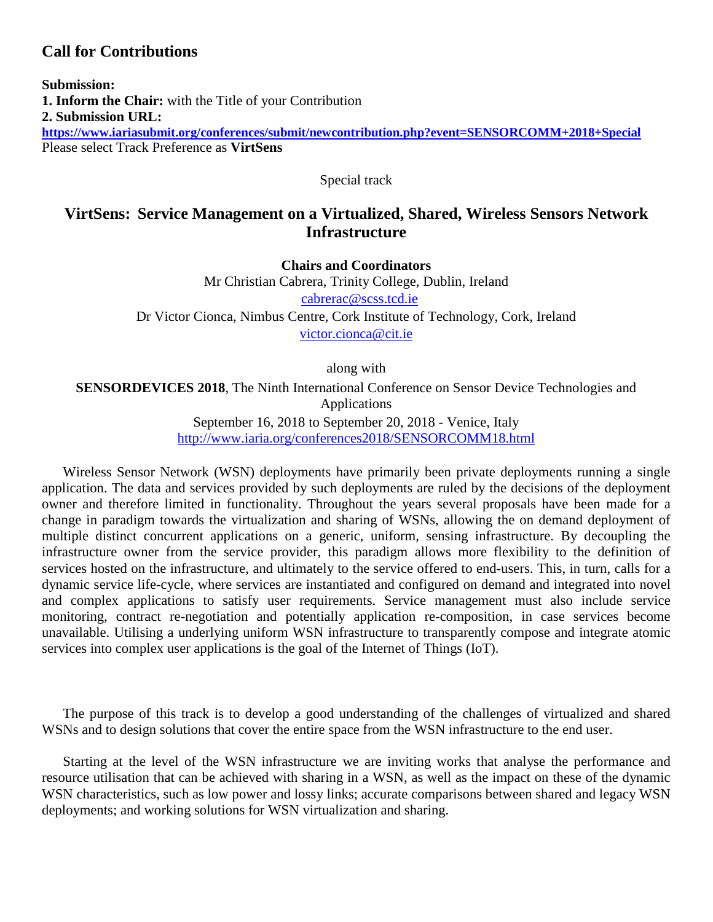# **Call for Contributions**

**Submission: 1. Inform the Chair:** with the Title of your Contribution **2. Submission URL: <https://www.iariasubmit.org/conferences/submit/newcontribution.php?event=SENSORCOMM+2018+Special>** Please select Track Preference as **VirtSens**

Special track

# **VirtSens: Service Management on a Virtualized, Shared, Wireless Sensors Network Infrastructure**

**Chairs and Coordinators** Mr Christian Cabrera, Trinity College, Dublin, Ireland [cabrerac@scss.tcd.ie](mailto:cabrerac@scss.tcd.ie) Dr Victor Cionca, Nimbus Centre, Cork Institute of Technology, Cork, Ireland [victor.cionca@cit.ie](mailto:victor.cionca@cit.ie)

along with

**SENSORDEVICES 2018**, The Ninth International Conference on Sensor Device Technologies and Applications September 16, 2018 to September 20, 2018 - Venice, Italy

<http://www.iaria.org/conferences2018/SENSORCOMM18.html>

Wireless Sensor Network (WSN) deployments have primarily been private deployments running a single application. The data and services provided by such deployments are ruled by the decisions of the deployment owner and therefore limited in functionality. Throughout the years several proposals have been made for a change in paradigm towards the virtualization and sharing of WSNs, allowing the on demand deployment of multiple distinct concurrent applications on a generic, uniform, sensing infrastructure. By decoupling the infrastructure owner from the service provider, this paradigm allows more flexibility to the definition of services hosted on the infrastructure, and ultimately to the service offered to end-users. This, in turn, calls for a dynamic service life-cycle, where services are instantiated and configured on demand and integrated into novel and complex applications to satisfy user requirements. Service management must also include service monitoring, contract re-negotiation and potentially application re-composition, in case services become unavailable. Utilising a underlying uniform WSN infrastructure to transparently compose and integrate atomic services into complex user applications is the goal of the Internet of Things (IoT).

The purpose of this track is to develop a good understanding of the challenges of virtualized and shared WSNs and to design solutions that cover the entire space from the WSN infrastructure to the end user.

Starting at the level of the WSN infrastructure we are inviting works that analyse the performance and resource utilisation that can be achieved with sharing in a WSN, as well as the impact on these of the dynamic WSN characteristics, such as low power and lossy links; accurate comparisons between shared and legacy WSN deployments; and working solutions for WSN virtualization and sharing.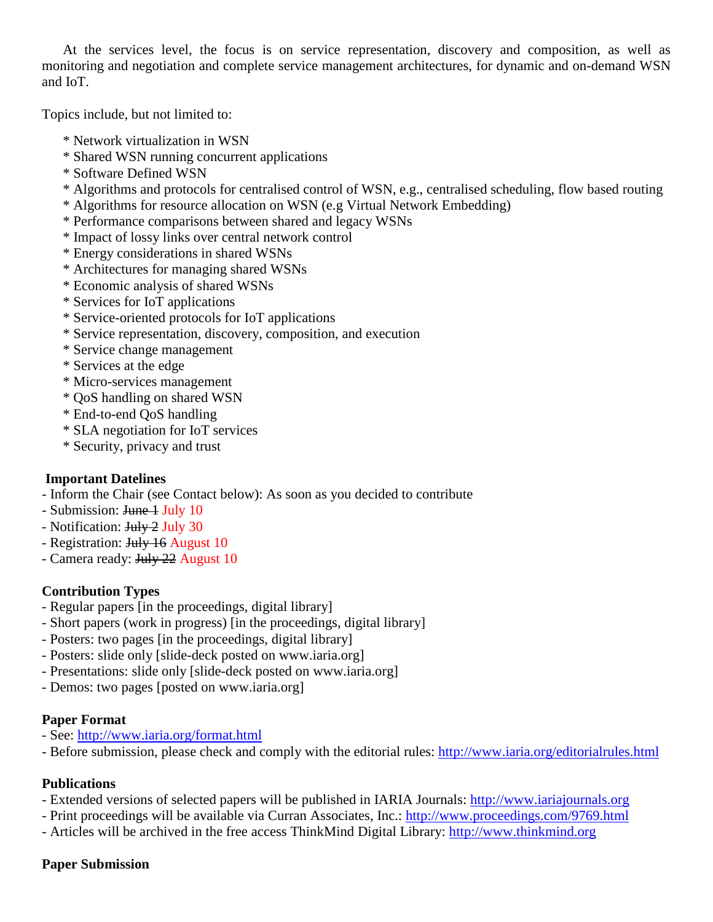At the services level, the focus is on service representation, discovery and composition, as well as monitoring and negotiation and complete service management architectures, for dynamic and on-demand WSN and IoT.

Topics include, but not limited to:

- \* Network virtualization in WSN
- \* Shared WSN running concurrent applications
- \* Software Defined WSN
- \* Algorithms and protocols for centralised control of WSN, e.g., centralised scheduling, flow based routing
- \* Algorithms for resource allocation on WSN (e.g Virtual Network Embedding)
- \* Performance comparisons between shared and legacy WSNs
- \* Impact of lossy links over central network control
- \* Energy considerations in shared WSNs
- \* Architectures for managing shared WSNs
- \* Economic analysis of shared WSNs
- \* Services for IoT applications
- \* Service-oriented protocols for IoT applications
- \* Service representation, discovery, composition, and execution
- \* Service change management
- \* Services at the edge
- \* Micro-services management
- \* QoS handling on shared WSN
- \* End-to-end QoS handling
- \* SLA negotiation for IoT services
- \* Security, privacy and trust

## **Important Datelines**

- Inform the Chair (see Contact below): As soon as you decided to contribute

- Submission: <del>June 1</del> July 10
- Notification: <del>July 2</del> July 30
- Registration: <del>July 16</del> August 10
- Camera ready: July 22 August 10

## **Contribution Types**

- Regular papers [in the proceedings, digital library]
- Short papers (work in progress) [in the proceedings, digital library]
- Posters: two pages [in the proceedings, digital library]
- Posters: slide only [slide-deck posted on www.iaria.org]
- Presentations: slide only [slide-deck posted on www.iaria.org]
- Demos: two pages [posted on www.iaria.org]

## **Paper Format**

- See: <http://www.iaria.org/format.html>
- Before submission, please check and comply with the editorial rules: <http://www.iaria.org/editorialrules.html>

## **Publications**

- Extended versions of selected papers will be published in IARIA Journals: [http://www.iariajournals.org](http://www.iariajournals.org/)
- Print proceedings will be available via Curran Associates, Inc.: <http://www.proceedings.com/9769.html>
- Articles will be archived in the free access ThinkMind Digital Library: [http://www.thinkmind.org](http://www.thinkmind.org/)

## **Paper Submission**